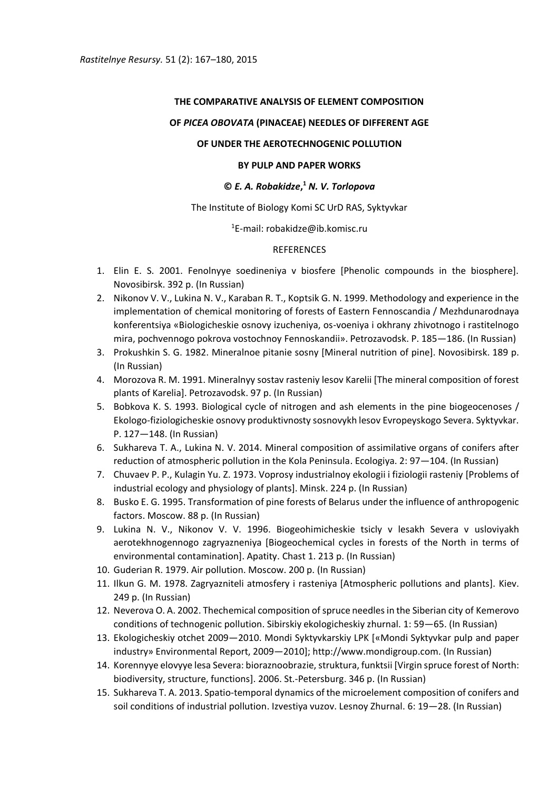# **THE COMPARATIVE ANALYSIS OF ELEMENT COMPOSITION**

# **OF** *PICEA OBOVATA* **(PINACEAE) NEEDLES OF DIFFERENT AGE**

## **OF UNDER THE AEROTECHNOGENIC POLLUTION**

## **BY PULP AND PAPER WORKS**

# **©** *E. A. Robakidze***, <sup>1</sup>** *N. V. Torlopova*

## The Institute of Biology Komi SC UrD RAS, Syktyvkar

#### <sup>1</sup>E-mail: robakidze@ib.komisc.ru

#### REFERENCES

- 1. Elin E. S. 2001. Fenolnyye soedineniya v biosfere [Phenolic compounds in the biosphere]. Novosibirsk. 392 p. (In Russian)
- 2. Nikonov V. V., Lukina N. V., Karaban R. T., Koptsik G. N. 1999. Methodology and experience in the implementation of chemical monitoring of forests of Eastern Fennoscandia / Mezhdunarodnaya konferentsiya «Biologicheskie osnovy izucheniya, os-voeniya i okhrany zhivotnogo i rastitelnogo mira, pochvennogo pokrova vostochnoy Fennoskandii». Petrozavodsk. P. 185—186. (In Russian)
- 3. Prokushkin S. G. 1982. Mineralnoe pitanie sosny [Mineral nutrition of pine]. Novosibirsk. 189 p. (In Russian)
- 4. Morozova R. M. 1991. Mineralnyy sostav rasteniy lesov Karelii [The mineral composition of forest plants of Karelia]. Petrozavodsk. 97 p. (In Russian)
- 5. Bobkova K. S. 1993. Biological cycle of nitrogen and ash elements in the pine biogeocenoses / Ekologo-fiziologicheskie osnovy produktivnosty sosnovykh lesov Evropeyskogo Severa. Syktyvkar. P. 127—148. (In Russian)
- 6. Sukhareva T. A., Lukina N. V. 2014. Mineral composition of assimilative organs of conifers after reduction of atmospheric pollution in the Kola Peninsula. Ecologiya. 2: 97—104. (In Russian)
- 7. Chuvaev P. P., Kulagin Yu. Z. 1973. Voprosy industrialnoy ekologii i fiziologii rasteniy [Problems of industrial ecology and physiology of plants]. Minsk. 224 p. (In Russian)
- 8. Busko E. G. 1995. Transformation of pine forests of Belarus under the influence of anthropogenic factors. Moscow. 88 p. (In Russian)
- 9. Lukina N. V., Nikonov V. V. 1996. Biogeohimicheskie tsicly v lesakh Severa v usloviyakh aerotekhnogennogo zagryazneniya [Biogeochemical cycles in forests of the North in terms of environmental contamination]. Apatity. Chast 1. 213 p. (In Russian)
- 10. Guderian R. 1979. Air pollution. Moscow. 200 p. (In Russian)
- 11. Ilkun G. M. 1978. Zagryazniteli atmosfery i rasteniya [Atmospheric pollutions and plants]. Kiev. 249 p. (In Russian)
- 12. Neverova O. A. 2002. Thechemical composition of spruce needles in the Siberian city of Kemerovo conditions of technogenic pollution. Sibirskiy ekologicheskiy zhurnal. 1: 59—65. (In Russian)
- 13. Ekologicheskiy otchet 2009—2010. Mondi Syktyvkarskiy LPK [«Mondi Syktyvkar pulp and paper industry» Environmental Report, 2009—2010]; http://www.mondigroup.com. (In Russian)
- 14. Korennyye elovyye lesa Severa: bioraznoobrazie, struktura, funktsii [Virgin spruce forest of North: biodiversity, structure, functions]. 2006. St.-Petersburg. 346 p. (In Russian)
- 15. Sukhareva T. A. 2013. Spatio-temporal dynamics of the microelement composition of conifers and soil conditions of industrial pollution. Izvestiya vuzov. Lesnoy Zhurnal. 6: 19—28. (In Russian)